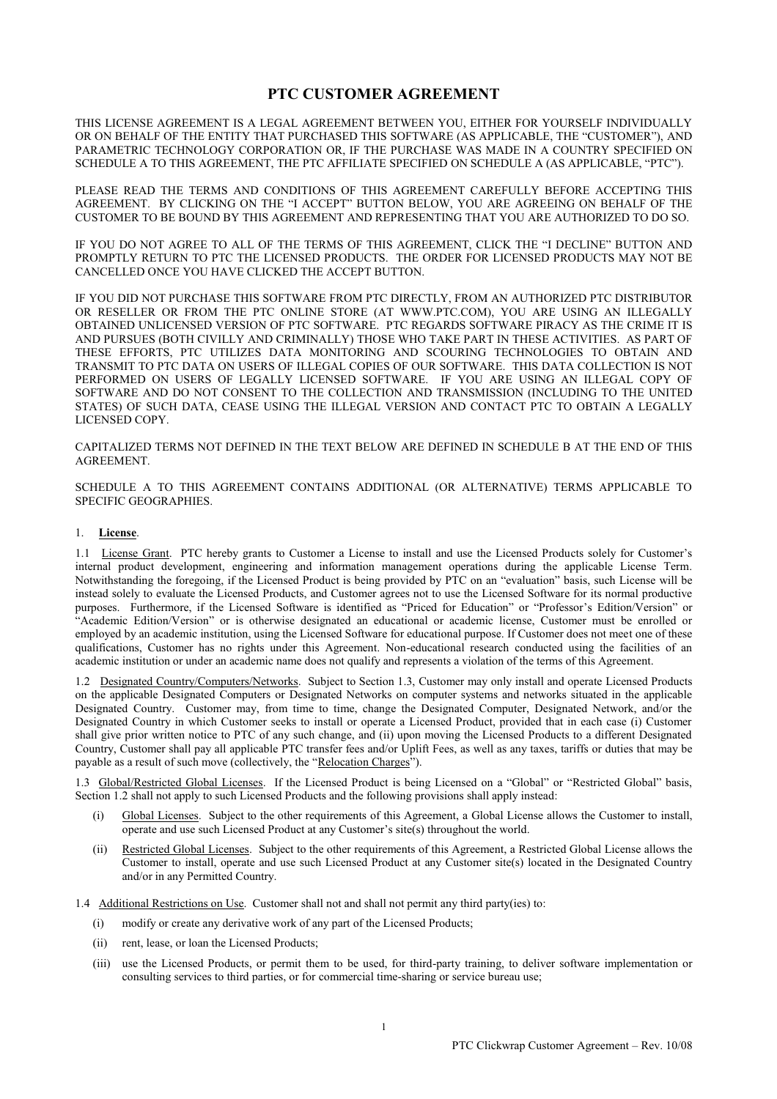# **PTC CUSTOMER AGREEMENT**

THIS LICENSE AGREEMENT IS A LEGAL AGREEMENT BETWEEN YOU, EITHER FOR YOURSELF INDIVIDUALLY OR ON BEHALF OF THE ENTITY THAT PURCHASED THIS SOFTWARE (AS APPLICABLE, THE "CUSTOMER"), AND PARAMETRIC TECHNOLOGY CORPORATION OR, IF THE PURCHASE WAS MADE IN A COUNTRY SPECIFIED ON SCHEDULE A TO THIS AGREEMENT, THE PTC AFFILIATE SPECIFIED ON SCHEDULE A (AS APPLICABLE, "PTC").

PLEASE READ THE TERMS AND CONDITIONS OF THIS AGREEMENT CAREFULLY BEFORE ACCEPTING THIS AGREEMENT. BY CLICKING ON THE "I ACCEPT" BUTTON BELOW, YOU ARE AGREEING ON BEHALF OF THE CUSTOMER TO BE BOUND BY THIS AGREEMENT AND REPRESENTING THAT YOU ARE AUTHORIZED TO DO SO.

IF YOU DO NOT AGREE TO ALL OF THE TERMS OF THIS AGREEMENT, CLICK THE "I DECLINE" BUTTON AND PROMPTLY RETURN TO PTC THE LICENSED PRODUCTS. THE ORDER FOR LICENSED PRODUCTS MAY NOT BE CANCELLED ONCE YOU HAVE CLICKED THE ACCEPT BUTTON.

IF YOU DID NOT PURCHASE THIS SOFTWARE FROM PTC DIRECTLY, FROM AN AUTHORIZED PTC DISTRIBUTOR OR RESELLER OR FROM THE PTC ONLINE STORE (AT WWW.PTC.COM), YOU ARE USING AN ILLEGALLY OBTAINED UNLICENSED VERSION OF PTC SOFTWARE. PTC REGARDS SOFTWARE PIRACY AS THE CRIME IT IS AND PURSUES (BOTH CIVILLY AND CRIMINALLY) THOSE WHO TAKE PART IN THESE ACTIVITIES. AS PART OF THESE EFFORTS, PTC UTILIZES DATA MONITORING AND SCOURING TECHNOLOGIES TO OBTAIN AND TRANSMIT TO PTC DATA ON USERS OF ILLEGAL COPIES OF OUR SOFTWARE. THIS DATA COLLECTION IS NOT PERFORMED ON USERS OF LEGALLY LICENSED SOFTWARE. IF YOU ARE USING AN ILLEGAL COPY OF SOFTWARE AND DO NOT CONSENT TO THE COLLECTION AND TRANSMISSION (INCLUDING TO THE UNITED STATES) OF SUCH DATA, CEASE USING THE ILLEGAL VERSION AND CONTACT PTC TO OBTAIN A LEGALLY LICENSED COPY.

CAPITALIZED TERMS NOT DEFINED IN THE TEXT BELOW ARE DEFINED IN SCHEDULE B AT THE END OF THIS AGREEMENT.

SCHEDULE A TO THIS AGREEMENT CONTAINS ADDITIONAL (OR ALTERNATIVE) TERMS APPLICABLE TO SPECIFIC GEOGRAPHIES.

#### 1. **License**.

1.1 License Grant. PTC hereby grants to Customer a License to install and use the Licensed Products solely for Customer's internal product development, engineering and information management operations during the applicable License Term. Notwithstanding the foregoing, if the Licensed Product is being provided by PTC on an "evaluation" basis, such License will be instead solely to evaluate the Licensed Products, and Customer agrees not to use the Licensed Software for its normal productive purposes. Furthermore, if the Licensed Software is identified as "Priced for Education" or "Professor's Edition/Version" or "Academic Edition/Version" or is otherwise designated an educational or academic license, Customer must be enrolled or employed by an academic institution, using the Licensed Software for educational purpose. If Customer does not meet one of these qualifications, Customer has no rights under this Agreement. Non-educational research conducted using the facilities of an academic institution or under an academic name does not qualify and represents a violation of the terms of this Agreement.

1.2 Designated Country/Computers/Networks. Subject to Section 1.3, Customer may only install and operate Licensed Products on the applicable Designated Computers or Designated Networks on computer systems and networks situated in the applicable Designated Country. Customer may, from time to time, change the Designated Computer, Designated Network, and/or the Designated Country in which Customer seeks to install or operate a Licensed Product, provided that in each case (i) Customer shall give prior written notice to PTC of any such change, and (ii) upon moving the Licensed Products to a different Designated Country, Customer shall pay all applicable PTC transfer fees and/or Uplift Fees, as well as any taxes, tariffs or duties that may be payable as a result of such move (collectively, the "Relocation Charges").

1.3 Global/Restricted Global Licenses. If the Licensed Product is being Licensed on a "Global" or "Restricted Global" basis, Section 1.2 shall not apply to such Licensed Products and the following provisions shall apply instead:

- Global Licenses. Subject to the other requirements of this Agreement, a Global License allows the Customer to install, operate and use such Licensed Product at any Customer's site(s) throughout the world.
- (ii) Restricted Global Licenses. Subject to the other requirements of this Agreement, a Restricted Global License allows the Customer to install, operate and use such Licensed Product at any Customer site(s) located in the Designated Country and/or in any Permitted Country.

1.4 Additional Restrictions on Use. Customer shall not and shall not permit any third party(ies) to:

- (i) modify or create any derivative work of any part of the Licensed Products;
- (ii) rent, lease, or loan the Licensed Products;
- (iii) use the Licensed Products, or permit them to be used, for third-party training, to deliver software implementation or consulting services to third parties, or for commercial time-sharing or service bureau use;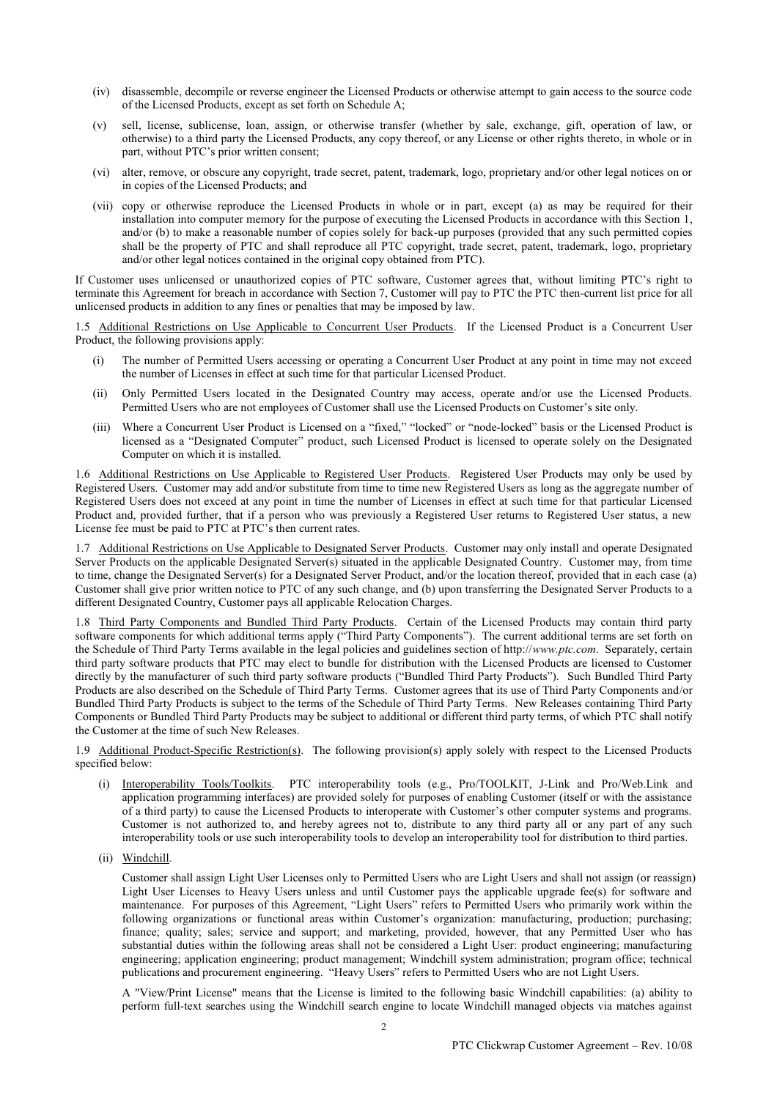- (iv) disassemble, decompile or reverse engineer the Licensed Products or otherwise attempt to gain access to the source code of the Licensed Products, except as set forth on Schedule A;
- (v) sell, license, sublicense, loan, assign, or otherwise transfer (whether by sale, exchange, gift, operation of law, or otherwise) to a third party the Licensed Products, any copy thereof, or any License or other rights thereto, in whole or in part, without PTC's prior written consent;
- (vi) alter, remove, or obscure any copyright, trade secret, patent, trademark, logo, proprietary and/or other legal notices on or in copies of the Licensed Products; and
- (vii) copy or otherwise reproduce the Licensed Products in whole or in part, except (a) as may be required for their installation into computer memory for the purpose of executing the Licensed Products in accordance with this Section 1, and/or (b) to make a reasonable number of copies solely for back-up purposes (provided that any such permitted copies shall be the property of PTC and shall reproduce all PTC copyright, trade secret, patent, trademark, logo, proprietary and/or other legal notices contained in the original copy obtained from PTC).

If Customer uses unlicensed or unauthorized copies of PTC software, Customer agrees that, without limiting PTC's right to terminate this Agreement for breach in accordance with Section 7, Customer will pay to PTC the PTC then-current list price for all unlicensed products in addition to any fines or penalties that may be imposed by law.

1.5 Additional Restrictions on Use Applicable to Concurrent User Products. If the Licensed Product is a Concurrent User Product, the following provisions apply:

- (i) The number of Permitted Users accessing or operating a Concurrent User Product at any point in time may not exceed the number of Licenses in effect at such time for that particular Licensed Product.
- (ii) Only Permitted Users located in the Designated Country may access, operate and/or use the Licensed Products. Permitted Users who are not employees of Customer shall use the Licensed Products on Customer's site only.
- (iii) Where a Concurrent User Product is Licensed on a "fixed," "locked" or "node-locked" basis or the Licensed Product is licensed as a "Designated Computer" product, such Licensed Product is licensed to operate solely on the Designated Computer on which it is installed.

1.6 Additional Restrictions on Use Applicable to Registered User Products. Registered User Products may only be used by Registered Users. Customer may add and/or substitute from time to time new Registered Users as long as the aggregate number of Registered Users does not exceed at any point in time the number of Licenses in effect at such time for that particular Licensed Product and, provided further, that if a person who was previously a Registered User returns to Registered User status, a new License fee must be paid to PTC at PTC's then current rates.

1.7 Additional Restrictions on Use Applicable to Designated Server Products. Customer may only install and operate Designated Server Products on the applicable Designated Server(s) situated in the applicable Designated Country. Customer may, from time to time, change the Designated Server(s) for a Designated Server Product, and/or the location thereof, provided that in each case (a) Customer shall give prior written notice to PTC of any such change, and (b) upon transferring the Designated Server Products to a different Designated Country, Customer pays all applicable Relocation Charges.

1.8 Third Party Components and Bundled Third Party Products. Certain of the Licensed Products may contain third party software components for which additional terms apply ("Third Party Components"). The current additional terms are set forth on the Schedule of Third Party Terms available in the legal policies and guidelines section of http://*www.ptc.com*. Separately, certain third party software products that PTC may elect to bundle for distribution with the Licensed Products are licensed to Customer directly by the manufacturer of such third party software products ("Bundled Third Party Products"). Such Bundled Third Party Products are also described on the Schedule of Third Party Terms. Customer agrees that its use of Third Party Components and/or Bundled Third Party Products is subject to the terms of the Schedule of Third Party Terms. New Releases containing Third Party Components or Bundled Third Party Products may be subject to additional or different third party terms, of which PTC shall notify the Customer at the time of such New Releases.

1.9 Additional Product-Specific Restriction(s). The following provision(s) apply solely with respect to the Licensed Products specified below:

- (i) Interoperability Tools/Toolkits.PTC interoperability tools (e.g., Pro/TOOLKIT, J-Link and Pro/Web.Link and application programming interfaces) are provided solely for purposes of enabling Customer (itself or with the assistance of a third party) to cause the Licensed Products to interoperate with Customer's other computer systems and programs. Customer is not authorized to, and hereby agrees not to, distribute to any third party all or any part of any such interoperability tools or use such interoperability tools to develop an interoperability tool for distribution to third parties.
- (ii) Windchill.

Customer shall assign Light User Licenses only to Permitted Users who are Light Users and shall not assign (or reassign) Light User Licenses to Heavy Users unless and until Customer pays the applicable upgrade fee(s) for software and maintenance. For purposes of this Agreement, "Light Users" refers to Permitted Users who primarily work within the following organizations or functional areas within Customer's organization: manufacturing, production; purchasing; finance; quality; sales; service and support; and marketing, provided, however, that any Permitted User who has substantial duties within the following areas shall not be considered a Light User: product engineering; manufacturing engineering; application engineering; product management; Windchill system administration; program office; technical publications and procurement engineering. "Heavy Users" refers to Permitted Users who are not Light Users.

A "View/Print License" means that the License is limited to the following basic Windchill capabilities: (a) ability to perform full-text searches using the Windchill search engine to locate Windchill managed objects via matches against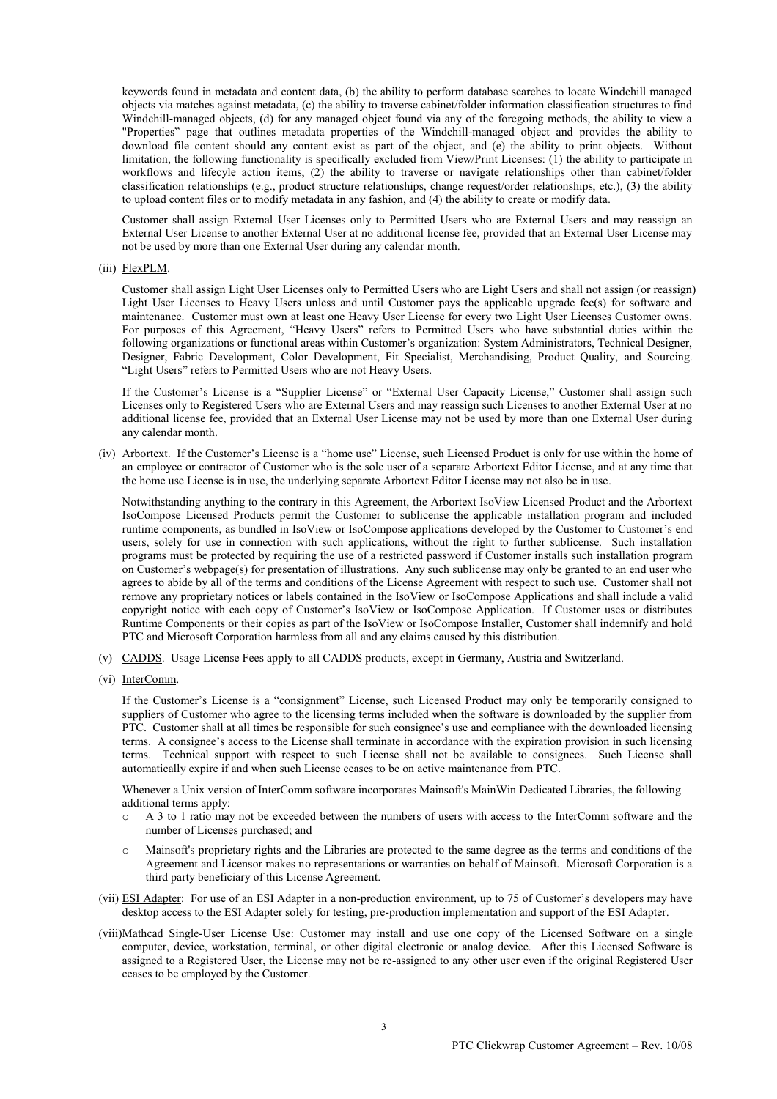keywords found in metadata and content data, (b) the ability to perform database searches to locate Windchill managed objects via matches against metadata, (c) the ability to traverse cabinet/folder information classification structures to find Windchill-managed objects, (d) for any managed object found via any of the foregoing methods, the ability to view a "Properties" page that outlines metadata properties of the Windchill-managed object and provides the ability to download file content should any content exist as part of the object, and (e) the ability to print objects. Without limitation, the following functionality is specifically excluded from View/Print Licenses: (1) the ability to participate in workflows and lifecyle action items, (2) the ability to traverse or navigate relationships other than cabinet/folder classification relationships (e.g., product structure relationships, change request/order relationships, etc.), (3) the ability to upload content files or to modify metadata in any fashion, and (4) the ability to create or modify data.

Customer shall assign External User Licenses only to Permitted Users who are External Users and may reassign an External User License to another External User at no additional license fee, provided that an External User License may not be used by more than one External User during any calendar month.

#### (iii) FlexPLM.

Customer shall assign Light User Licenses only to Permitted Users who are Light Users and shall not assign (or reassign) Light User Licenses to Heavy Users unless and until Customer pays the applicable upgrade fee(s) for software and maintenance. Customer must own at least one Heavy User License for every two Light User Licenses Customer owns. For purposes of this Agreement, "Heavy Users" refers to Permitted Users who have substantial duties within the following organizations or functional areas within Customer's organization: System Administrators, Technical Designer, Designer, Fabric Development, Color Development, Fit Specialist, Merchandising, Product Quality, and Sourcing. "Light Users" refers to Permitted Users who are not Heavy Users.

If the Customer's License is a "Supplier License" or "External User Capacity License," Customer shall assign such Licenses only to Registered Users who are External Users and may reassign such Licenses to another External User at no additional license fee, provided that an External User License may not be used by more than one External User during any calendar month.

(iv) Arbortext. If the Customer's License is a "home use" License, such Licensed Product is only for use within the home of an employee or contractor of Customer who is the sole user of a separate Arbortext Editor License, and at any time that the home use License is in use, the underlying separate Arbortext Editor License may not also be in use.

Notwithstanding anything to the contrary in this Agreement, the Arbortext IsoView Licensed Product and the Arbortext IsoCompose Licensed Products permit the Customer to sublicense the applicable installation program and included runtime components, as bundled in IsoView or IsoCompose applications developed by the Customer to Customer's end users, solely for use in connection with such applications, without the right to further sublicense. Such installation programs must be protected by requiring the use of a restricted password if Customer installs such installation program on Customer's webpage(s) for presentation of illustrations. Any such sublicense may only be granted to an end user who agrees to abide by all of the terms and conditions of the License Agreement with respect to such use. Customer shall not remove any proprietary notices or labels contained in the IsoView or IsoCompose Applications and shall include a valid copyright notice with each copy of Customer's IsoView or IsoCompose Application. If Customer uses or distributes Runtime Components or their copies as part of the IsoView or IsoCompose Installer, Customer shall indemnify and hold PTC and Microsoft Corporation harmless from all and any claims caused by this distribution.

- (v) CADDS. Usage License Fees apply to all CADDS products, except in Germany, Austria and Switzerland.
- (vi) InterComm.

If the Customer's License is a "consignment" License, such Licensed Product may only be temporarily consigned to suppliers of Customer who agree to the licensing terms included when the software is downloaded by the supplier from PTC. Customer shall at all times be responsible for such consignee's use and compliance with the downloaded licensing terms. A consignee's access to the License shall terminate in accordance with the expiration provision in such licensing terms. Technical support with respect to such License shall not be available to consignees. Such License shall automatically expire if and when such License ceases to be on active maintenance from PTC.

Whenever a Unix version of InterComm software incorporates Mainsoft's MainWin Dedicated Libraries, the following additional terms apply:

- A 3 to 1 ratio may not be exceeded between the numbers of users with access to the InterComm software and the number of Licenses purchased; and
- o Mainsoft's proprietary rights and the Libraries are protected to the same degree as the terms and conditions of the Agreement and Licensor makes no representations or warranties on behalf of Mainsoft. Microsoft Corporation is a third party beneficiary of this License Agreement.
- (vii) ESI Adapter: For use of an ESI Adapter in a non-production environment, up to 75 of Customer's developers may have desktop access to the ESI Adapter solely for testing, pre-production implementation and support of the ESI Adapter.
- (viii)Mathcad Single-User License Use: Customer may install and use one copy of the Licensed Software on a single computer, device, workstation, terminal, or other digital electronic or analog device.After this Licensed Software is assigned to a Registered User, the License may not be re-assigned to any other user even if the original Registered User ceases to be employed by the Customer.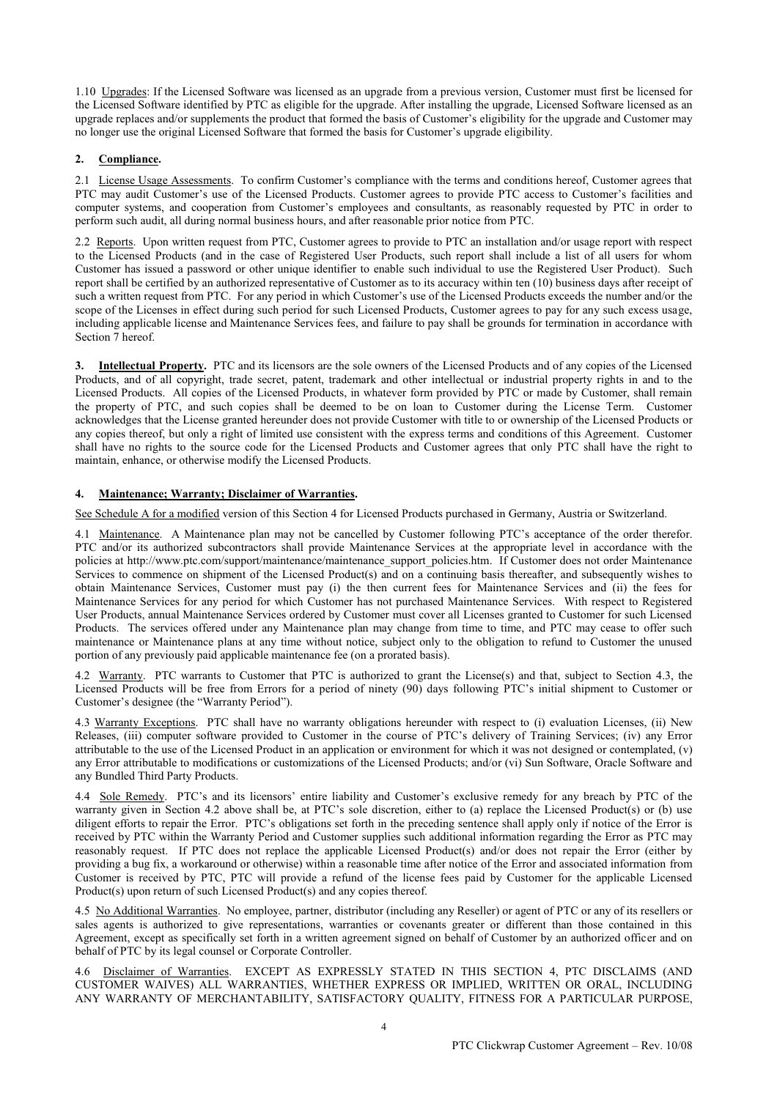1.10 Upgrades: If the Licensed Software was licensed as an upgrade from a previous version, Customer must first be licensed for the Licensed Software identified by PTC as eligible for the upgrade. After installing the upgrade, Licensed Software licensed as an upgrade replaces and/or supplements the product that formed the basis of Customer's eligibility for the upgrade and Customer may no longer use the original Licensed Software that formed the basis for Customer's upgrade eligibility.

# **2. Compliance.**

2.1 License Usage Assessments. To confirm Customer's compliance with the terms and conditions hereof, Customer agrees that PTC may audit Customer's use of the Licensed Products. Customer agrees to provide PTC access to Customer's facilities and computer systems, and cooperation from Customer's employees and consultants, as reasonably requested by PTC in order to perform such audit, all during normal business hours, and after reasonable prior notice from PTC.

2.2 Reports. Upon written request from PTC, Customer agrees to provide to PTC an installation and/or usage report with respect to the Licensed Products (and in the case of Registered User Products, such report shall include a list of all users for whom Customer has issued a password or other unique identifier to enable such individual to use the Registered User Product). Such report shall be certified by an authorized representative of Customer as to its accuracy within ten (10) business days after receipt of such a written request from PTC. For any period in which Customer's use of the Licensed Products exceeds the number and/or the scope of the Licenses in effect during such period for such Licensed Products, Customer agrees to pay for any such excess usage, including applicable license and Maintenance Services fees, and failure to pay shall be grounds for termination in accordance with Section 7 hereof.

**3. Intellectual Property.** PTC and its licensors are the sole owners of the Licensed Products and of any copies of the Licensed Products, and of all copyright, trade secret, patent, trademark and other intellectual or industrial property rights in and to the Licensed Products. All copies of the Licensed Products, in whatever form provided by PTC or made by Customer, shall remain the property of PTC, and such copies shall be deemed to be on loan to Customer during the License Term. Customer acknowledges that the License granted hereunder does not provide Customer with title to or ownership of the Licensed Products or any copies thereof, but only a right of limited use consistent with the express terms and conditions of this Agreement. Customer shall have no rights to the source code for the Licensed Products and Customer agrees that only PTC shall have the right to maintain, enhance, or otherwise modify the Licensed Products.

# **4. Maintenance; Warranty; Disclaimer of Warranties.**

See Schedule A for a modified version of this Section 4 for Licensed Products purchased in Germany, Austria or Switzerland.

4.1 Maintenance. A Maintenance plan may not be cancelled by Customer following PTC's acceptance of the order therefor. PTC and/or its authorized subcontractors shall provide Maintenance Services at the appropriate level in accordance with the policies at http://www.ptc.com/support/maintenance/maintenance\_support\_policies.htm. If Customer does not order Maintenance Services to commence on shipment of the Licensed Product(s) and on a continuing basis thereafter, and subsequently wishes to obtain Maintenance Services, Customer must pay (i) the then current fees for Maintenance Services and (ii) the fees for Maintenance Services for any period for which Customer has not purchased Maintenance Services. With respect to Registered User Products, annual Maintenance Services ordered by Customer must cover all Licenses granted to Customer for such Licensed Products. The services offered under any Maintenance plan may change from time to time, and PTC may cease to offer such maintenance or Maintenance plans at any time without notice, subject only to the obligation to refund to Customer the unused portion of any previously paid applicable maintenance fee (on a prorated basis).

4.2 Warranty. PTC warrants to Customer that PTC is authorized to grant the License(s) and that, subject to Section 4.3, the Licensed Products will be free from Errors for a period of ninety (90) days following PTC's initial shipment to Customer or Customer's designee (the "Warranty Period").

4.3 Warranty Exceptions. PTC shall have no warranty obligations hereunder with respect to (i) evaluation Licenses, (ii) New Releases, (iii) computer software provided to Customer in the course of PTC's delivery of Training Services; (iv) any Error attributable to the use of the Licensed Product in an application or environment for which it was not designed or contemplated, (v) any Error attributable to modifications or customizations of the Licensed Products; and/or (vi) Sun Software, Oracle Software and any Bundled Third Party Products.

4.4 Sole Remedy. PTC's and its licensors' entire liability and Customer's exclusive remedy for any breach by PTC of the warranty given in Section 4.2 above shall be, at PTC's sole discretion, either to (a) replace the Licensed Product(s) or (b) use diligent efforts to repair the Error. PTC's obligations set forth in the preceding sentence shall apply only if notice of the Error is received by PTC within the Warranty Period and Customer supplies such additional information regarding the Error as PTC may reasonably request. If PTC does not replace the applicable Licensed Product(s) and/or does not repair the Error (either by providing a bug fix, a workaround or otherwise) within a reasonable time after notice of the Error and associated information from Customer is received by PTC, PTC will provide a refund of the license fees paid by Customer for the applicable Licensed Product(s) upon return of such Licensed Product(s) and any copies thereof.

4.5 No Additional Warranties. No employee, partner, distributor (including any Reseller) or agent of PTC or any of its resellers or sales agents is authorized to give representations, warranties or covenants greater or different than those contained in this Agreement, except as specifically set forth in a written agreement signed on behalf of Customer by an authorized officer and on behalf of PTC by its legal counsel or Corporate Controller.

4.6 Disclaimer of Warranties. EXCEPT AS EXPRESSLY STATED IN THIS SECTION 4, PTC DISCLAIMS (AND CUSTOMER WAIVES) ALL WARRANTIES, WHETHER EXPRESS OR IMPLIED, WRITTEN OR ORAL, INCLUDING ANY WARRANTY OF MERCHANTABILITY, SATISFACTORY QUALITY, FITNESS FOR A PARTICULAR PURPOSE,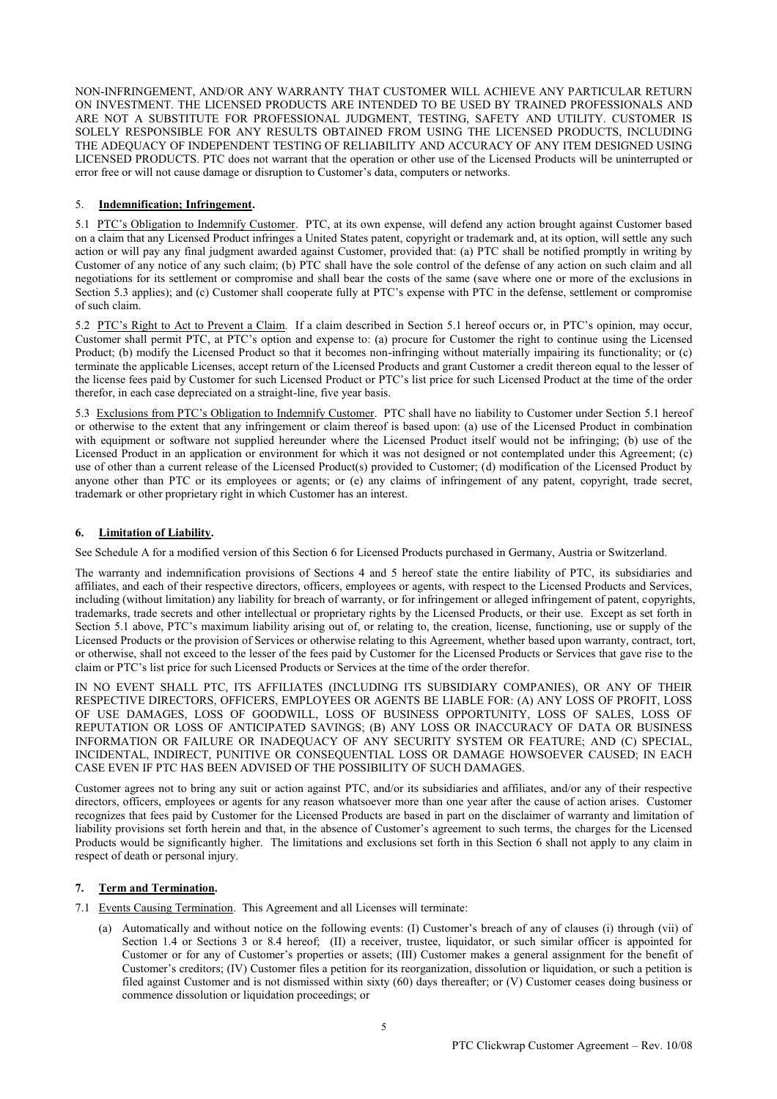NON-INFRINGEMENT, AND/OR ANY WARRANTY THAT CUSTOMER WILL ACHIEVE ANY PARTICULAR RETURN ON INVESTMENT. THE LICENSED PRODUCTS ARE INTENDED TO BE USED BY TRAINED PROFESSIONALS AND ARE NOT A SUBSTITUTE FOR PROFESSIONAL JUDGMENT, TESTING, SAFETY AND UTILITY. CUSTOMER IS SOLELY RESPONSIBLE FOR ANY RESULTS OBTAINED FROM USING THE LICENSED PRODUCTS, INCLUDING THE ADEQUACY OF INDEPENDENT TESTING OF RELIABILITY AND ACCURACY OF ANY ITEM DESIGNED USING LICENSED PRODUCTS. PTC does not warrant that the operation or other use of the Licensed Products will be uninterrupted or error free or will not cause damage or disruption to Customer's data, computers or networks.

# 5. **Indemnification; Infringement.**

5.1 PTC's Obligation to Indemnify Customer. PTC, at its own expense, will defend any action brought against Customer based on a claim that any Licensed Product infringes a United States patent, copyright or trademark and, at its option, will settle any such action or will pay any final judgment awarded against Customer, provided that: (a) PTC shall be notified promptly in writing by Customer of any notice of any such claim; (b) PTC shall have the sole control of the defense of any action on such claim and all negotiations for its settlement or compromise and shall bear the costs of the same (save where one or more of the exclusions in Section 5.3 applies); and (c) Customer shall cooperate fully at PTC's expense with PTC in the defense, settlement or compromise of such claim.

5.2 PTC's Right to Act to Prevent a Claim. If a claim described in Section 5.1 hereof occurs or, in PTC's opinion, may occur, Customer shall permit PTC, at PTC's option and expense to: (a) procure for Customer the right to continue using the Licensed Product; (b) modify the Licensed Product so that it becomes non-infringing without materially impairing its functionality; or (c) terminate the applicable Licenses, accept return of the Licensed Products and grant Customer a credit thereon equal to the lesser of the license fees paid by Customer for such Licensed Product or PTC's list price for such Licensed Product at the time of the order therefor, in each case depreciated on a straight-line, five year basis.

5.3 Exclusions from PTC's Obligation to Indemnify Customer. PTC shall have no liability to Customer under Section 5.1 hereof or otherwise to the extent that any infringement or claim thereof is based upon: (a) use of the Licensed Product in combination with equipment or software not supplied hereunder where the Licensed Product itself would not be infringing; (b) use of the Licensed Product in an application or environment for which it was not designed or not contemplated under this Agreement; (c) use of other than a current release of the Licensed Product(s) provided to Customer; (d) modification of the Licensed Product by anyone other than PTC or its employees or agents; or (e) any claims of infringement of any patent, copyright, trade secret, trademark or other proprietary right in which Customer has an interest.

# **6. Limitation of Liability.**

See Schedule A for a modified version of this Section 6 for Licensed Products purchased in Germany, Austria or Switzerland.

The warranty and indemnification provisions of Sections 4 and 5 hereof state the entire liability of PTC, its subsidiaries and affiliates, and each of their respective directors, officers, employees or agents, with respect to the Licensed Products and Services, including (without limitation) any liability for breach of warranty, or for infringement or alleged infringement of patent, copyrights, trademarks, trade secrets and other intellectual or proprietary rights by the Licensed Products, or their use. Except as set forth in Section 5.1 above, PTC's maximum liability arising out of, or relating to, the creation, license, functioning, use or supply of the Licensed Products or the provision of Services or otherwise relating to this Agreement, whether based upon warranty, contract, tort, or otherwise, shall not exceed to the lesser of the fees paid by Customer for the Licensed Products or Services that gave rise to the claim or PTC's list price for such Licensed Products or Services at the time of the order therefor.

IN NO EVENT SHALL PTC, ITS AFFILIATES (INCLUDING ITS SUBSIDIARY COMPANIES), OR ANY OF THEIR RESPECTIVE DIRECTORS, OFFICERS, EMPLOYEES OR AGENTS BE LIABLE FOR: (A) ANY LOSS OF PROFIT, LOSS OF USE DAMAGES, LOSS OF GOODWILL, LOSS OF BUSINESS OPPORTUNITY, LOSS OF SALES, LOSS OF REPUTATION OR LOSS OF ANTICIPATED SAVINGS; (B) ANY LOSS OR INACCURACY OF DATA OR BUSINESS INFORMATION OR FAILURE OR INADEQUACY OF ANY SECURITY SYSTEM OR FEATURE; AND (C) SPECIAL, INCIDENTAL, INDIRECT, PUNITIVE OR CONSEQUENTIAL LOSS OR DAMAGE HOWSOEVER CAUSED; IN EACH CASE EVEN IF PTC HAS BEEN ADVISED OF THE POSSIBILITY OF SUCH DAMAGES.

Customer agrees not to bring any suit or action against PTC, and/or its subsidiaries and affiliates, and/or any of their respective directors, officers, employees or agents for any reason whatsoever more than one year after the cause of action arises. Customer recognizes that fees paid by Customer for the Licensed Products are based in part on the disclaimer of warranty and limitation of liability provisions set forth herein and that, in the absence of Customer's agreement to such terms, the charges for the Licensed Products would be significantly higher. The limitations and exclusions set forth in this Section 6 shall not apply to any claim in respect of death or personal injury.

## **7. Term and Termination.**

- 7.1 Events Causing Termination. This Agreement and all Licenses will terminate:
	- (a) Automatically and without notice on the following events: (I) Customer's breach of any of clauses (i) through (vii) of Section 1.4 or Sections 3 or 8.4 hereof; (II) a receiver, trustee, liquidator, or such similar officer is appointed for Customer or for any of Customer's properties or assets; (III) Customer makes a general assignment for the benefit of Customer's creditors; (IV) Customer files a petition for its reorganization, dissolution or liquidation, or such a petition is filed against Customer and is not dismissed within sixty (60) days thereafter; or (V) Customer ceases doing business or commence dissolution or liquidation proceedings; or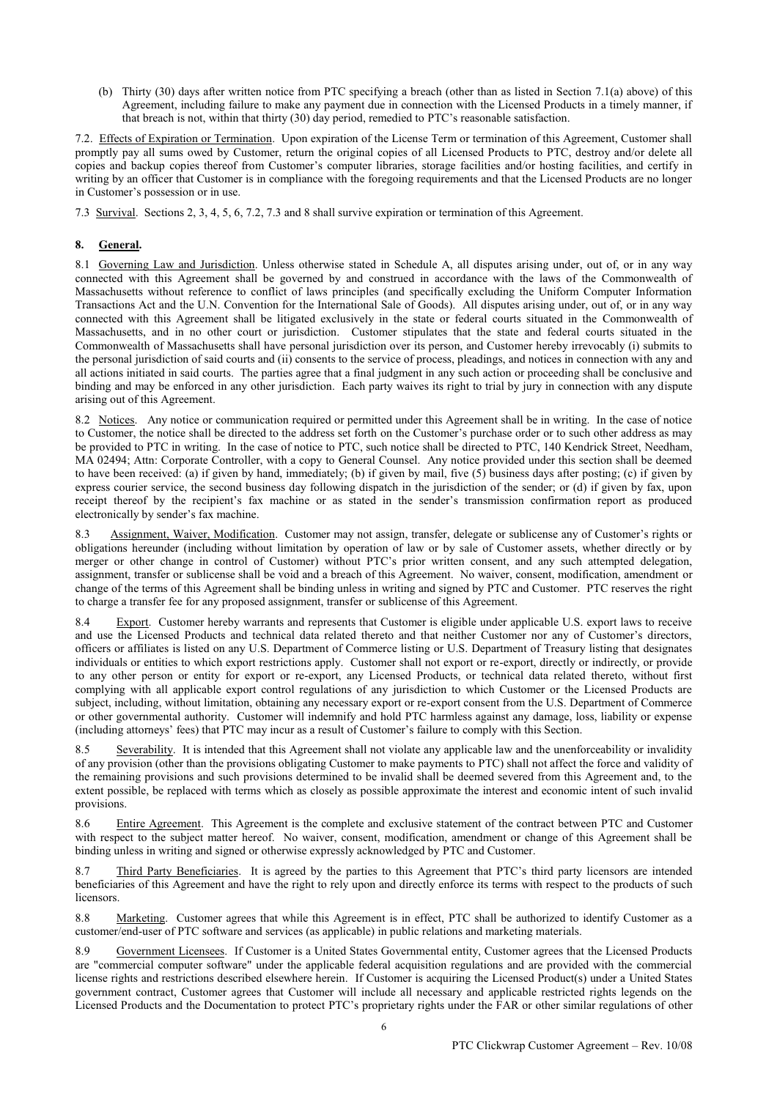(b) Thirty (30) days after written notice from PTC specifying a breach (other than as listed in Section 7.1(a) above) of this Agreement, including failure to make any payment due in connection with the Licensed Products in a timely manner, if that breach is not, within that thirty (30) day period, remedied to PTC's reasonable satisfaction.

7.2. Effects of Expiration or Termination. Upon expiration of the License Term or termination of this Agreement, Customer shall promptly pay all sums owed by Customer, return the original copies of all Licensed Products to PTC, destroy and/or delete all copies and backup copies thereof from Customer's computer libraries, storage facilities and/or hosting facilities, and certify in writing by an officer that Customer is in compliance with the foregoing requirements and that the Licensed Products are no longer in Customer's possession or in use.

7.3 Survival. Sections 2, 3, 4, 5, 6, 7.2, 7.3 and 8 shall survive expiration or termination of this Agreement.

# **8. General.**

8.1 Governing Law and Jurisdiction. Unless otherwise stated in Schedule A, all disputes arising under, out of, or in any way connected with this Agreement shall be governed by and construed in accordance with the laws of the Commonwealth of Massachusetts without reference to conflict of laws principles (and specifically excluding the Uniform Computer Information Transactions Act and the U.N. Convention for the International Sale of Goods). All disputes arising under, out of, or in any way connected with this Agreement shall be litigated exclusively in the state or federal courts situated in the Commonwealth of Massachusetts, and in no other court or jurisdiction. Customer stipulates that the state and federal courts situated in the Commonwealth of Massachusetts shall have personal jurisdiction over its person, and Customer hereby irrevocably (i) submits to the personal jurisdiction of said courts and (ii) consents to the service of process, pleadings, and notices in connection with any and all actions initiated in said courts. The parties agree that a final judgment in any such action or proceeding shall be conclusive and binding and may be enforced in any other jurisdiction. Each party waives its right to trial by jury in connection with any dispute arising out of this Agreement.

8.2 Notices. Any notice or communication required or permitted under this Agreement shall be in writing. In the case of notice to Customer, the notice shall be directed to the address set forth on the Customer's purchase order or to such other address as may be provided to PTC in writing. In the case of notice to PTC, such notice shall be directed to PTC, 140 Kendrick Street, Needham, MA 02494; Attn: Corporate Controller, with a copy to General Counsel. Any notice provided under this section shall be deemed to have been received: (a) if given by hand, immediately; (b) if given by mail, five (5) business days after posting; (c) if given by express courier service, the second business day following dispatch in the jurisdiction of the sender; or (d) if given by fax, upon receipt thereof by the recipient's fax machine or as stated in the sender's transmission confirmation report as produced electronically by sender's fax machine.

8.3 Assignment, Waiver, Modification. Customer may not assign, transfer, delegate or sublicense any of Customer's rights or obligations hereunder (including without limitation by operation of law or by sale of Customer assets, whether directly or by merger or other change in control of Customer) without PTC's prior written consent, and any such attempted delegation, assignment, transfer or sublicense shall be void and a breach of this Agreement. No waiver, consent, modification, amendment or change of the terms of this Agreement shall be binding unless in writing and signed by PTC and Customer. PTC reserves the right to charge a transfer fee for any proposed assignment, transfer or sublicense of this Agreement.

8.4 Export. Customer hereby warrants and represents that Customer is eligible under applicable U.S. export laws to receive and use the Licensed Products and technical data related thereto and that neither Customer nor any of Customer's directors, officers or affiliates is listed on any U.S. Department of Commerce listing or U.S. Department of Treasury listing that designates individuals or entities to which export restrictions apply. Customer shall not export or re-export, directly or indirectly, or provide to any other person or entity for export or re-export, any Licensed Products, or technical data related thereto, without first complying with all applicable export control regulations of any jurisdiction to which Customer or the Licensed Products are subject, including, without limitation, obtaining any necessary export or re-export consent from the U.S. Department of Commerce or other governmental authority. Customer will indemnify and hold PTC harmless against any damage, loss, liability or expense (including attorneys' fees) that PTC may incur as a result of Customer's failure to comply with this Section.

8.5 Severability. It is intended that this Agreement shall not violate any applicable law and the unenforceability or invalidity of any provision (other than the provisions obligating Customer to make payments to PTC) shall not affect the force and validity of the remaining provisions and such provisions determined to be invalid shall be deemed severed from this Agreement and, to the extent possible, be replaced with terms which as closely as possible approximate the interest and economic intent of such invalid provisions.

8.6 Entire Agreement. This Agreement is the complete and exclusive statement of the contract between PTC and Customer with respect to the subject matter hereof. No waiver, consent, modification, amendment or change of this Agreement shall be binding unless in writing and signed or otherwise expressly acknowledged by PTC and Customer.

8.7 Third Party Beneficiaries. It is agreed by the parties to this Agreement that PTC's third party licensors are intended beneficiaries of this Agreement and have the right to rely upon and directly enforce its terms with respect to the products of such **licensors** 

8.8 Marketing. Customer agrees that while this Agreement is in effect, PTC shall be authorized to identify Customer as a customer/end-user of PTC software and services (as applicable) in public relations and marketing materials.

8.9 Government Licensees. If Customer is a United States Governmental entity, Customer agrees that the Licensed Products are "commercial computer software" under the applicable federal acquisition regulations and are provided with the commercial license rights and restrictions described elsewhere herein. If Customer is acquiring the Licensed Product(s) under a United States government contract, Customer agrees that Customer will include all necessary and applicable restricted rights legends on the Licensed Products and the Documentation to protect PTC's proprietary rights under the FAR or other similar regulations of other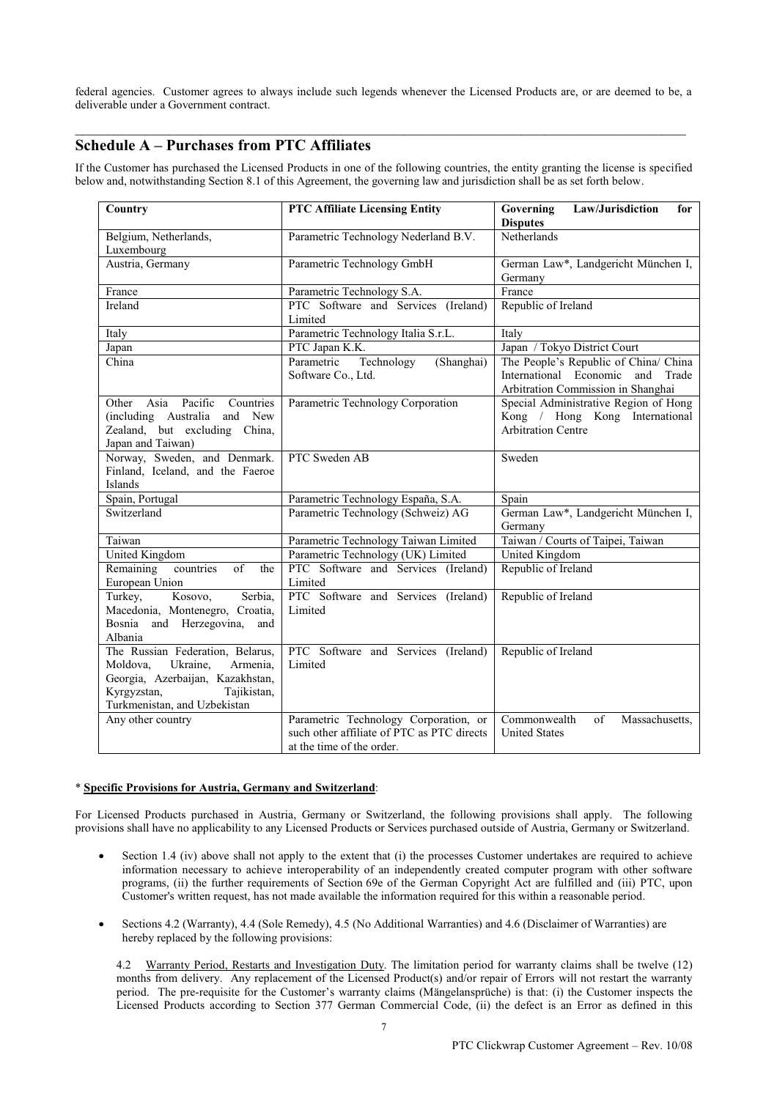federal agencies. Customer agrees to always include such legends whenever the Licensed Products are, or are deemed to be, a deliverable under a Government contract.

\_\_\_\_\_\_\_\_\_\_\_\_\_\_\_\_\_\_\_\_\_\_\_\_\_\_\_\_\_\_\_\_\_\_\_\_\_\_\_\_\_\_\_\_\_\_\_\_\_\_\_\_\_\_\_\_\_\_\_\_\_\_\_\_\_\_\_\_\_\_\_\_\_\_\_\_\_\_

# **Schedule A – Purchases from PTC Affiliates**

If the Customer has purchased the Licensed Products in one of the following countries, the entity granting the license is specified below and, notwithstanding Section 8.1 of this Agreement, the governing law and jurisdiction shall be as set forth below.

| Country                                                                                                                                                                | <b>PTC Affiliate Licensing Entity</b>                                                                            | Law/Jurisdiction<br>Governing<br>for<br><b>Disputes</b>                                                               |
|------------------------------------------------------------------------------------------------------------------------------------------------------------------------|------------------------------------------------------------------------------------------------------------------|-----------------------------------------------------------------------------------------------------------------------|
| Belgium, Netherlands,<br>Luxembourg                                                                                                                                    | Parametric Technology Nederland B.V.                                                                             | <b>Netherlands</b>                                                                                                    |
| Austria, Germany                                                                                                                                                       | Parametric Technology GmbH                                                                                       | German Law*, Landgericht München I,<br>Germany                                                                        |
| France                                                                                                                                                                 | Parametric Technology S.A.                                                                                       | France                                                                                                                |
| <b>Ireland</b>                                                                                                                                                         | PTC Software and Services (Ireland)<br>Limited                                                                   | Republic of Ireland                                                                                                   |
| Italy                                                                                                                                                                  | Parametric Technology Italia S.r.L.                                                                              | Italy                                                                                                                 |
| Japan                                                                                                                                                                  | PTC Japan K.K.                                                                                                   | Japan / Tokyo District Court                                                                                          |
| China                                                                                                                                                                  | Technology<br>(Shanghai)<br>Parametric<br>Software Co., Ltd.                                                     | The People's Republic of China/ China<br>International Economic<br>Trade<br>and<br>Arbitration Commission in Shanghai |
| Other Asia Pacific Countries<br>(including Australia and New<br>Zealand, but excluding China,<br>Japan and Taiwan)                                                     | Parametric Technology Corporation                                                                                | Special Administrative Region of Hong<br>Kong / Hong Kong International<br><b>Arbitration Centre</b>                  |
| Norway, Sweden, and Denmark.<br>Finland, Iceland, and the Faeroe<br>Islands                                                                                            | PTC Sweden AB                                                                                                    | Sweden                                                                                                                |
| Spain, Portugal                                                                                                                                                        | Parametric Technology España, S.A.                                                                               | Spain                                                                                                                 |
| Switzerland                                                                                                                                                            | Parametric Technology (Schweiz) AG                                                                               | German Law*, Landgericht München I,<br>Germany                                                                        |
| Taiwan                                                                                                                                                                 | Parametric Technology Taiwan Limited                                                                             | Taiwan / Courts of Taipei, Taiwan                                                                                     |
| United Kingdom                                                                                                                                                         | Parametric Technology (UK) Limited                                                                               | United Kingdom                                                                                                        |
| countries<br>Remaining<br>of<br>the<br>European Union                                                                                                                  | PTC Software and Services (Ireland)<br>Limited                                                                   | Republic of Ireland                                                                                                   |
| Kosovo,<br>Serbia,<br>Turkey,<br>Macedonia, Montenegro, Croatia,<br>Bosnia and Herzegovina,<br>and<br>Albania                                                          | PTC Software and Services (Ireland)<br>Limited                                                                   | Republic of Ireland                                                                                                   |
| The Russian Federation, Belarus,<br>Ukraine,<br>Armenia,<br>Moldova,<br>Georgia, Azerbaijan, Kazakhstan,<br>Kyrgyzstan,<br>Tajikistan,<br>Turkmenistan, and Uzbekistan | PTC Software and Services (Ireland)<br>Limited                                                                   | Republic of Ireland                                                                                                   |
| Any other country                                                                                                                                                      | Parametric Technology Corporation, or<br>such other affiliate of PTC as PTC directs<br>at the time of the order. | Commonwealth<br>of<br>Massachusetts,<br><b>United States</b>                                                          |

## \* **Specific Provisions for Austria, Germany and Switzerland**:

For Licensed Products purchased in Austria, Germany or Switzerland, the following provisions shall apply. The following provisions shall have no applicability to any Licensed Products or Services purchased outside of Austria, Germany or Switzerland.

- Section 1.4 (iv) above shall not apply to the extent that (i) the processes Customer undertakes are required to achieve information necessary to achieve interoperability of an independently created computer program with other software programs, (ii) the further requirements of Section 69e of the German Copyright Act are fulfilled and (iii) PTC, upon Customer's written request, has not made available the information required for this within a reasonable period.
- · Sections 4.2 (Warranty), 4.4 (Sole Remedy), 4.5 (No Additional Warranties) and 4.6 (Disclaimer of Warranties) are hereby replaced by the following provisions:

4.2 Warranty Period, Restarts and Investigation Duty. The limitation period for warranty claims shall be twelve (12) months from delivery. Any replacement of the Licensed Product(s) and/or repair of Errors will not restart the warranty period. The pre-requisite for the Customer's warranty claims (Mängelansprüche) is that: (i) the Customer inspects the Licensed Products according to Section 377 German Commercial Code, (ii) the defect is an Error as defined in this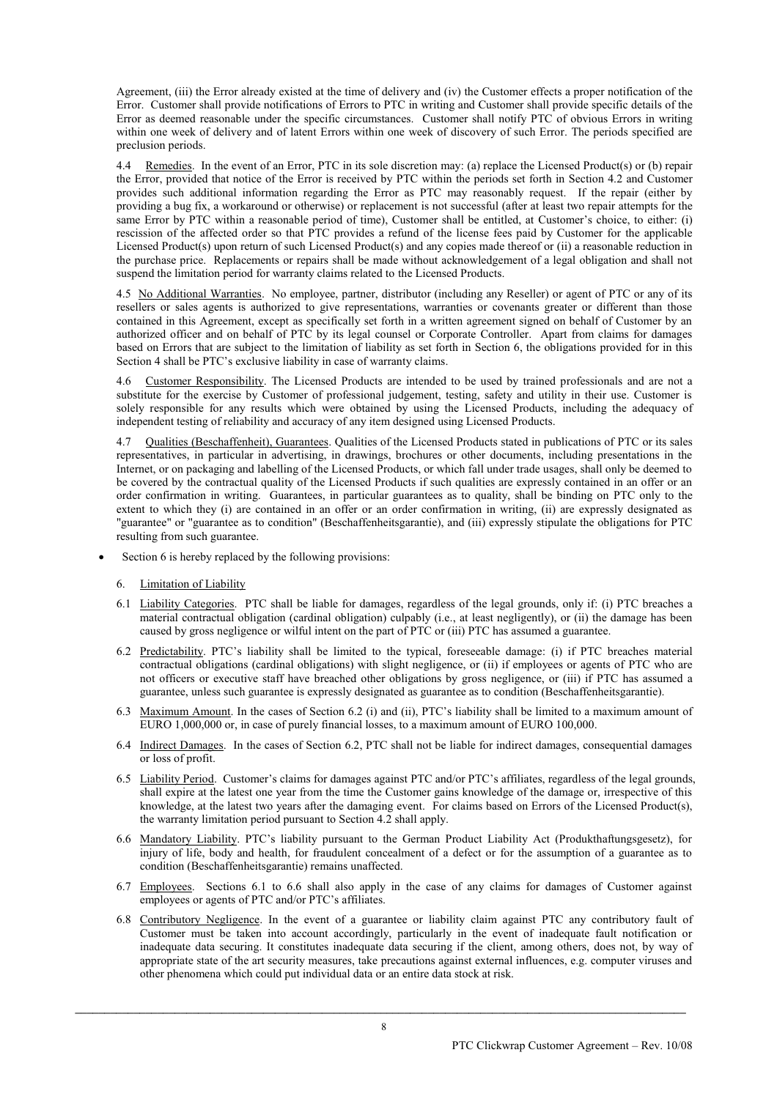Agreement, (iii) the Error already existed at the time of delivery and (iv) the Customer effects a proper notification of the Error. Customer shall provide notifications of Errors to PTC in writing and Customer shall provide specific details of the Error as deemed reasonable under the specific circumstances. Customer shall notify PTC of obvious Errors in writing within one week of delivery and of latent Errors within one week of discovery of such Error. The periods specified are preclusion periods.

4.4 Remedies. In the event of an Error, PTC in its sole discretion may: (a) replace the Licensed Product(s) or (b) repair the Error, provided that notice of the Error is received by PTC within the periods set forth in Section 4.2 and Customer provides such additional information regarding the Error as PTC may reasonably request. If the repair (either by providing a bug fix, a workaround or otherwise) or replacement is not successful (after at least two repair attempts for the same Error by PTC within a reasonable period of time), Customer shall be entitled, at Customer's choice, to either: (i) rescission of the affected order so that PTC provides a refund of the license fees paid by Customer for the applicable Licensed Product(s) upon return of such Licensed Product(s) and any copies made thereof or (ii) a reasonable reduction in the purchase price. Replacements or repairs shall be made without acknowledgement of a legal obligation and shall not suspend the limitation period for warranty claims related to the Licensed Products.

4.5 No Additional Warranties. No employee, partner, distributor (including any Reseller) or agent of PTC or any of its resellers or sales agents is authorized to give representations, warranties or covenants greater or different than those contained in this Agreement, except as specifically set forth in a written agreement signed on behalf of Customer by an authorized officer and on behalf of PTC by its legal counsel or Corporate Controller. Apart from claims for damages based on Errors that are subject to the limitation of liability as set forth in Section 6, the obligations provided for in this Section 4 shall be PTC's exclusive liability in case of warranty claims.

4.6 Customer Responsibility. The Licensed Products are intended to be used by trained professionals and are not a substitute for the exercise by Customer of professional judgement, testing, safety and utility in their use. Customer is solely responsible for any results which were obtained by using the Licensed Products, including the adequacy of independent testing of reliability and accuracy of any item designed using Licensed Products.

4.7 Qualities (Beschaffenheit), Guarantees. Qualities of the Licensed Products stated in publications of PTC or its sales representatives, in particular in advertising, in drawings, brochures or other documents, including presentations in the Internet, or on packaging and labelling of the Licensed Products, or which fall under trade usages, shall only be deemed to be covered by the contractual quality of the Licensed Products if such qualities are expressly contained in an offer or an order confirmation in writing. Guarantees, in particular guarantees as to quality, shall be binding on PTC only to the extent to which they (i) are contained in an offer or an order confirmation in writing, (ii) are expressly designated as "guarantee" or "guarantee as to condition" (Beschaffenheitsgarantie), and (iii) expressly stipulate the obligations for PTC resulting from such guarantee.

- Section 6 is hereby replaced by the following provisions:
	- 6. Limitation of Liability
	- 6.1 Liability Categories. PTC shall be liable for damages, regardless of the legal grounds, only if: (i) PTC breaches a material contractual obligation (cardinal obligation) culpably (i.e., at least negligently), or (ii) the damage has been caused by gross negligence or wilful intent on the part of PTC or (iii) PTC has assumed a guarantee.
	- 6.2 Predictability. PTC's liability shall be limited to the typical, foreseeable damage: (i) if PTC breaches material contractual obligations (cardinal obligations) with slight negligence, or (ii) if employees or agents of PTC who are not officers or executive staff have breached other obligations by gross negligence, or (iii) if PTC has assumed a guarantee, unless such guarantee is expressly designated as guarantee as to condition (Beschaffenheitsgarantie).
	- 6.3 Maximum Amount. In the cases of Section 6.2 (i) and (ii), PTC's liability shall be limited to a maximum amount of EURO 1,000,000 or, in case of purely financial losses, to a maximum amount of EURO 100,000.
	- 6.4 Indirect Damages. In the cases of Section 6.2, PTC shall not be liable for indirect damages, consequential damages or loss of profit.
	- 6.5 Liability Period. Customer's claims for damages against PTC and/or PTC's affiliates, regardless of the legal grounds, shall expire at the latest one year from the time the Customer gains knowledge of the damage or, irrespective of this knowledge, at the latest two years after the damaging event. For claims based on Errors of the Licensed Product(s), the warranty limitation period pursuant to Section 4.2 shall apply.
	- 6.6 Mandatory Liability. PTC's liability pursuant to the German Product Liability Act (Produkthaftungsgesetz), for injury of life, body and health, for fraudulent concealment of a defect or for the assumption of a guarantee as to condition (Beschaffenheitsgarantie) remains unaffected.
	- 6.7 Employees. Sections 6.1 to 6.6 shall also apply in the case of any claims for damages of Customer against employees or agents of PTC and/or PTC's affiliates.
	- 6.8 Contributory Negligence. In the event of a guarantee or liability claim against PTC any contributory fault of Customer must be taken into account accordingly, particularly in the event of inadequate fault notification or inadequate data securing. It constitutes inadequate data securing if the client, among others, does not, by way of appropriate state of the art security measures, take precautions against external influences, e.g. computer viruses and other phenomena which could put individual data or an entire data stock at risk.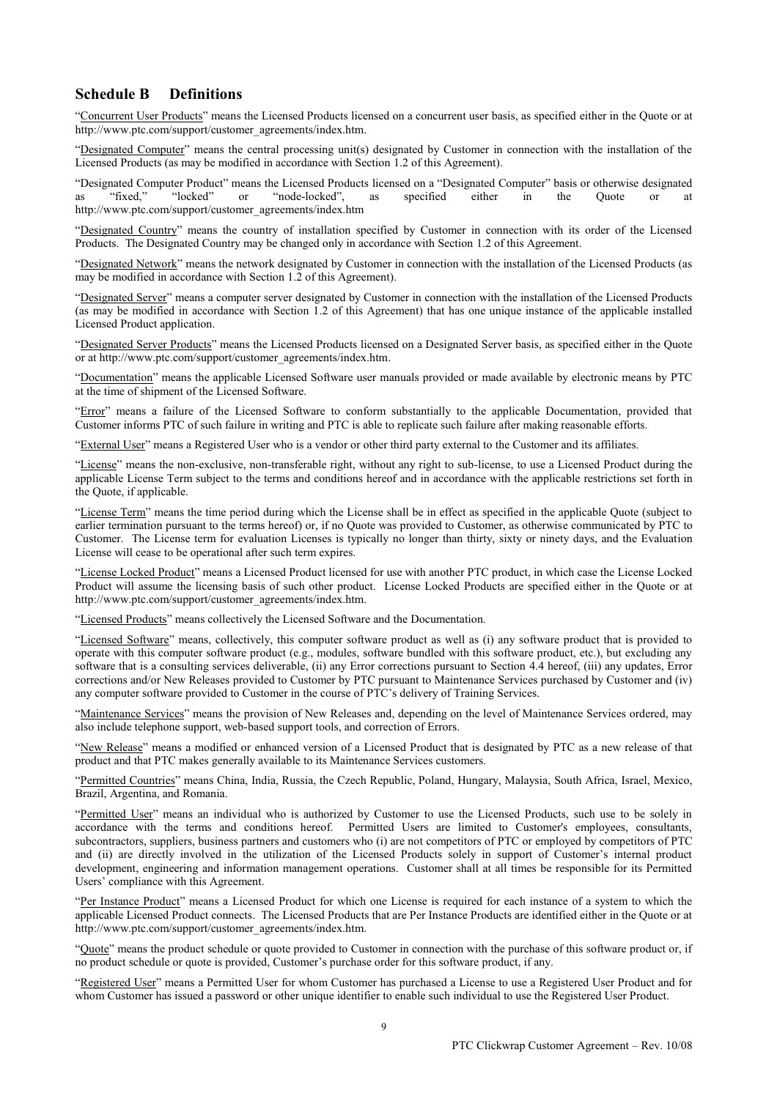# **Schedule B Definitions**

"Concurrent User Products" means the Licensed Products licensed on a concurrent user basis, as specified either in the Quote or at http://www.ptc.com/support/customer\_agreements/index.htm.

"Designated Computer" means the central processing unit(s) designated by Customer in connection with the installation of the Licensed Products (as may be modified in accordance with Section 1.2 of this Agreement).

"Designated Computer Product" means the Licensed Products licensed on a "Designated Computer" basis or otherwise designated as "fixed," "locked" or "node-locked", as specified either in the Quote or at http://www.ptc.com/support/customer\_agreements/index.htm

"Designated Country" means the country of installation specified by Customer in connection with its order of the Licensed Products. The Designated Country may be changed only in accordance with Section 1.2 of this Agreement.

"Designated Network" means the network designated by Customer in connection with the installation of the Licensed Products (as may be modified in accordance with Section 1.2 of this Agreement).

"Designated Server" means a computer server designated by Customer in connection with the installation of the Licensed Products (as may be modified in accordance with Section 1.2 of this Agreement) that has one unique instance of the applicable installed Licensed Product application.

"Designated Server Products" means the Licensed Products licensed on a Designated Server basis, as specified either in the Quote or at http://www.ptc.com/support/customer\_agreements/index.htm.

"Documentation" means the applicable Licensed Software user manuals provided or made available by electronic means by PTC at the time of shipment of the Licensed Software.

"Error" means a failure of the Licensed Software to conform substantially to the applicable Documentation, provided that Customer informs PTC of such failure in writing and PTC is able to replicate such failure after making reasonable efforts.

"External User" means a Registered User who is a vendor or other third party external to the Customer and its affiliates.

"License" means the non-exclusive, non-transferable right, without any right to sub-license, to use a Licensed Product during the applicable License Term subject to the terms and conditions hereof and in accordance with the applicable restrictions set forth in the Quote, if applicable.

"License Term" means the time period during which the License shall be in effect as specified in the applicable Quote (subject to earlier termination pursuant to the terms hereof) or, if no Quote was provided to Customer, as otherwise communicated by PTC to Customer. The License term for evaluation Licenses is typically no longer than thirty, sixty or ninety days, and the Evaluation License will cease to be operational after such term expires.

"License Locked Product" means a Licensed Product licensed for use with another PTC product, in which case the License Locked Product will assume the licensing basis of such other product. License Locked Products are specified either in the Quote or at http://www.ptc.com/support/customer\_agreements/index.htm.

"Licensed Products" means collectively the Licensed Software and the Documentation.

"Licensed Software" means, collectively, this computer software product as well as (i) any software product that is provided to operate with this computer software product (e.g., modules, software bundled with this software product, etc.), but excluding any software that is a consulting services deliverable, (ii) any Error corrections pursuant to Section 4.4 hereof, (iii) any updates, Error corrections and/or New Releases provided to Customer by PTC pursuant to Maintenance Services purchased by Customer and (iv) any computer software provided to Customer in the course of PTC's delivery of Training Services.

"Maintenance Services" means the provision of New Releases and, depending on the level of Maintenance Services ordered, may also include telephone support, web-based support tools, and correction of Errors.

"New Release" means a modified or enhanced version of a Licensed Product that is designated by PTC as a new release of that product and that PTC makes generally available to its Maintenance Services customers.

"Permitted Countries" means China, India, Russia, the Czech Republic, Poland, Hungary, Malaysia, South Africa, Israel, Mexico, Brazil, Argentina, and Romania.

"Permitted User" means an individual who is authorized by Customer to use the Licensed Products, such use to be solely in accordance with the terms and conditions hereof. Permitted Users are limited to Customer's employees, consultants, subcontractors, suppliers, business partners and customers who (i) are not competitors of PTC or employed by competitors of PTC and (ii) are directly involved in the utilization of the Licensed Products solely in support of Customer's internal product development, engineering and information management operations. Customer shall at all times be responsible for its Permitted Users' compliance with this Agreement.

"Per Instance Product" means a Licensed Product for which one License is required for each instance of a system to which the applicable Licensed Product connects. The Licensed Products that are Per Instance Products are identified either in the Quote or at http://www.ptc.com/support/customer\_agreements/index.htm.

"Quote" means the product schedule or quote provided to Customer in connection with the purchase of this software product or, if no product schedule or quote is provided, Customer's purchase order for this software product, if any.

"Registered User" means a Permitted User for whom Customer has purchased a License to use a Registered User Product and for whom Customer has issued a password or other unique identifier to enable such individual to use the Registered User Product.